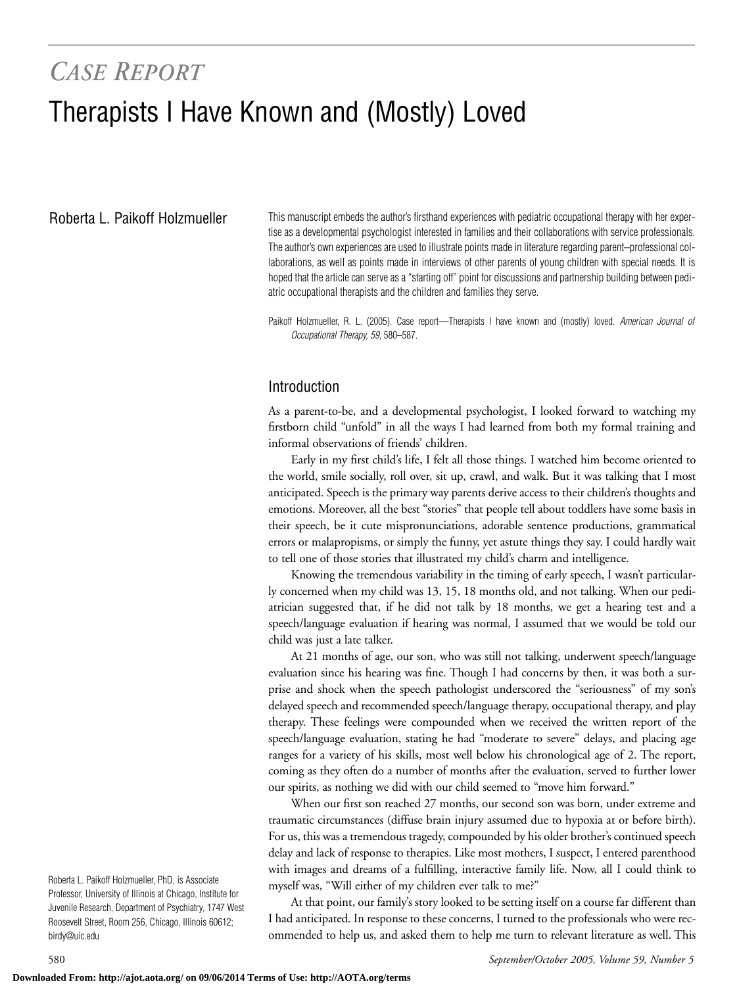# *CASE REPORT* Therapists I Have Known and (Mostly) Loved

Roberta L. Paikoff Holzmueller

This manuscript embeds the author's firsthand experiences with pediatric occupational therapy with her expertise as a developmental psychologist interested in families and their collaborations with service professionals. The author's own experiences are used to illustrate points made in literature regarding parent–professional collaborations, as well as points made in interviews of other parents of young children with special needs. It is hoped that the article can serve as a "starting off" point for discussions and partnership building between pediatric occupational therapists and the children and families they serve.

Paikoff Holzmueller, R. L. (2005). Case report—Therapists I have known and (mostly) loved. *American Journal of Occupational Therapy, 59,* 580–587.

#### Introduction

As a parent-to-be, and a developmental psychologist, I looked forward to watching my firstborn child "unfold" in all the ways I had learned from both my formal training and informal observations of friends' children.

Early in my first child's life, I felt all those things. I watched him become oriented to the world, smile socially, roll over, sit up, crawl, and walk. But it was talking that I most anticipated. Speech is the primary way parents derive access to their children's thoughts and emotions. Moreover, all the best "stories" that people tell about toddlers have some basis in their speech, be it cute mispronunciations, adorable sentence productions, grammatical errors or malapropisms, or simply the funny, yet astute things they say. I could hardly wait to tell one of those stories that illustrated my child's charm and intelligence.

Knowing the tremendous variability in the timing of early speech, I wasn't particularly concerned when my child was 13, 15, 18 months old, and not talking. When our pediatrician suggested that, if he did not talk by 18 months, we get a hearing test and a speech/language evaluation if hearing was normal, I assumed that we would be told our child was just a late talker.

At 21 months of age, our son, who was still not talking, underwent speech/language evaluation since his hearing was fine. Though I had concerns by then, it was both a surprise and shock when the speech pathologist underscored the "seriousness" of my son's delayed speech and recommended speech/language therapy, occupational therapy, and play therapy. These feelings were compounded when we received the written report of the speech/language evaluation, stating he had "moderate to severe" delays, and placing age ranges for a variety of his skills, most well below his chronological age of 2. The report, coming as they often do a number of months after the evaluation, served to further lower our spirits, as nothing we did with our child seemed to "move him forward."

When our first son reached 27 months, our second son was born, under extreme and traumatic circumstances (diffuse brain injury assumed due to hypoxia at or before birth). For us, this was a tremendous tragedy, compounded by his older brother's continued speech delay and lack of response to therapies. Like most mothers, I suspect, I entered parenthood with images and dreams of a fulfilling, interactive family life. Now, all I could think to myself was, "Will either of my children ever talk to me?"

At that point, our family's story looked to be setting itself on a course far different than I had anticipated. In response to these concerns, I turned to the professionals who were recommended to help us, and asked them to help me turn to relevant literature as well. This

Roberta L. Paikoff Holzmueller, PhD, is Associate Professor, University of Illinois at Chicago, Institute for Juvenile Research, Department of Psychiatry, 1747 West Roosevelt Street, Room 256, Chicago, Illinois 60612; birdy@uic.edu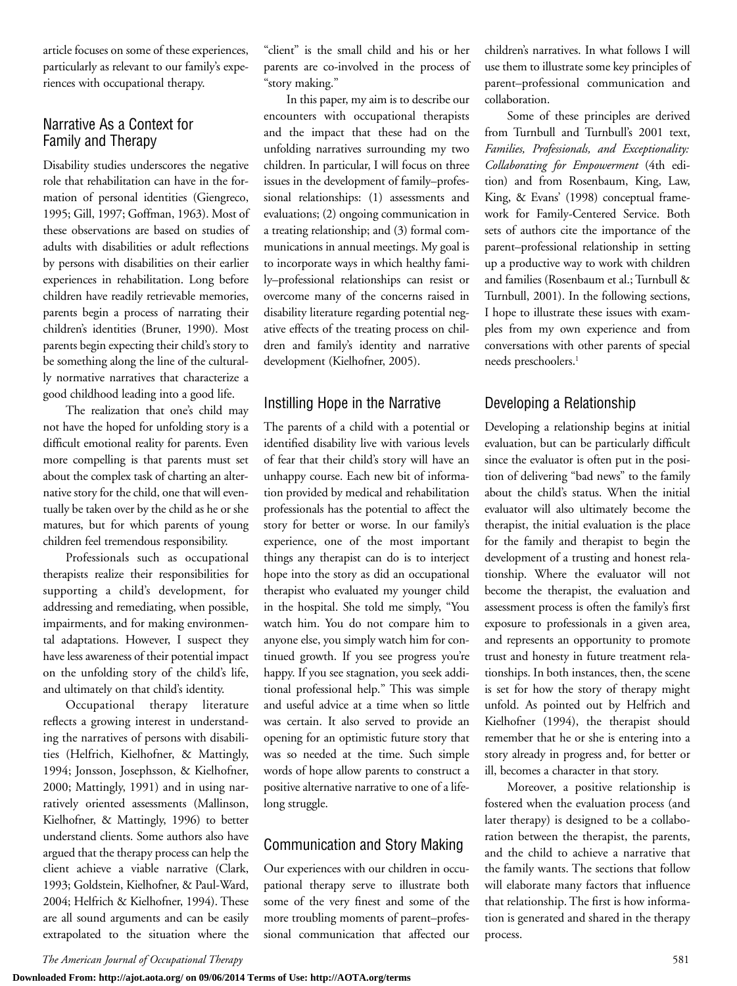article focuses on some of these experiences, particularly as relevant to our family's experiences with occupational therapy.

## Narrative As a Context for Family and Therapy

Disability studies underscores the negative role that rehabilitation can have in the formation of personal identities (Giengreco, 1995; Gill, 1997; Goffman, 1963). Most of these observations are based on studies of adults with disabilities or adult reflections by persons with disabilities on their earlier experiences in rehabilitation. Long before children have readily retrievable memories, parents begin a process of narrating their children's identities (Bruner, 1990). Most parents begin expecting their child's story to be something along the line of the culturally normative narratives that characterize a good childhood leading into a good life.

The realization that one's child may not have the hoped for unfolding story is a difficult emotional reality for parents. Even more compelling is that parents must set about the complex task of charting an alternative story for the child, one that will eventually be taken over by the child as he or she matures, but for which parents of young children feel tremendous responsibility.

Professionals such as occupational therapists realize their responsibilities for supporting a child's development, for addressing and remediating, when possible, impairments, and for making environmental adaptations. However, I suspect they have less awareness of their potential impact on the unfolding story of the child's life, and ultimately on that child's identity.

Occupational therapy literature reflects a growing interest in understanding the narratives of persons with disabilities (Helfrich, Kielhofner, & Mattingly, 1994; Jonsson, Josephsson, & Kielhofner, 2000; Mattingly, 1991) and in using narratively oriented assessments (Mallinson, Kielhofner, & Mattingly, 1996) to better understand clients. Some authors also have argued that the therapy process can help the client achieve a viable narrative (Clark, 1993; Goldstein, Kielhofner, & Paul-Ward, 2004; Helfrich & Kielhofner, 1994). These are all sound arguments and can be easily extrapolated to the situation where the "client" is the small child and his or her parents are co-involved in the process of "story making."

In this paper, my aim is to describe our encounters with occupational therapists and the impact that these had on the unfolding narratives surrounding my two children. In particular, I will focus on three issues in the development of family–professional relationships: (1) assessments and evaluations; (2) ongoing communication in a treating relationship; and (3) formal communications in annual meetings. My goal is to incorporate ways in which healthy family–professional relationships can resist or overcome many of the concerns raised in disability literature regarding potential negative effects of the treating process on children and family's identity and narrative development (Kielhofner, 2005).

#### Instilling Hope in the Narrative

The parents of a child with a potential or identified disability live with various levels of fear that their child's story will have an unhappy course. Each new bit of information provided by medical and rehabilitation professionals has the potential to affect the story for better or worse. In our family's experience, one of the most important things any therapist can do is to interject hope into the story as did an occupational therapist who evaluated my younger child in the hospital. She told me simply, "You watch him. You do not compare him to anyone else, you simply watch him for continued growth. If you see progress you're happy. If you see stagnation, you seek additional professional help." This was simple and useful advice at a time when so little was certain. It also served to provide an opening for an optimistic future story that was so needed at the time. Such simple words of hope allow parents to construct a positive alternative narrative to one of a lifelong struggle.

## Communication and Story Making

Our experiences with our children in occupational therapy serve to illustrate both some of the very finest and some of the more troubling moments of parent–professional communication that affected our children's narratives. In what follows I will use them to illustrate some key principles of parent–professional communication and collaboration.

Some of these principles are derived from Turnbull and Turnbull's 2001 text, *Families, Professionals, and Exceptionality: Collaborating for Empowerment* (4th edition) and from Rosenbaum, King, Law, King, & Evans' (1998) conceptual framework for Family-Centered Service. Both sets of authors cite the importance of the parent–professional relationship in setting up a productive way to work with children and families (Rosenbaum et al.; Turnbull & Turnbull, 2001). In the following sections, I hope to illustrate these issues with examples from my own experience and from conversations with other parents of special needs preschoolers.<sup>1</sup>

## Developing a Relationship

Developing a relationship begins at initial evaluation, but can be particularly difficult since the evaluator is often put in the position of delivering "bad news" to the family about the child's status. When the initial evaluator will also ultimately become the therapist, the initial evaluation is the place for the family and therapist to begin the development of a trusting and honest relationship. Where the evaluator will not become the therapist, the evaluation and assessment process is often the family's first exposure to professionals in a given area, and represents an opportunity to promote trust and honesty in future treatment relationships. In both instances, then, the scene is set for how the story of therapy might unfold. As pointed out by Helfrich and Kielhofner (1994), the therapist should remember that he or she is entering into a story already in progress and, for better or ill, becomes a character in that story.

Moreover, a positive relationship is fostered when the evaluation process (and later therapy) is designed to be a collaboration between the therapist, the parents, and the child to achieve a narrative that the family wants. The sections that follow will elaborate many factors that influence that relationship. The first is how information is generated and shared in the therapy process.

*The American Journal of Occupational Therapy* 581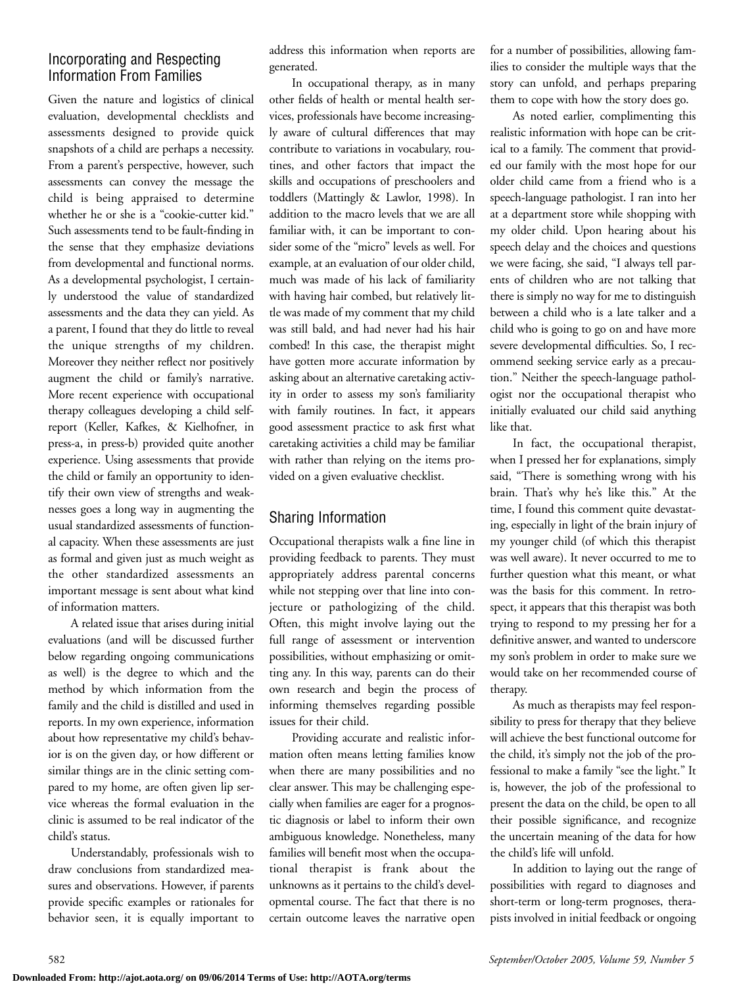## Incorporating and Respecting Information From Families

Given the nature and logistics of clinical evaluation, developmental checklists and assessments designed to provide quick snapshots of a child are perhaps a necessity. From a parent's perspective, however, such assessments can convey the message the child is being appraised to determine whether he or she is a "cookie-cutter kid." Such assessments tend to be fault-finding in the sense that they emphasize deviations from developmental and functional norms. As a developmental psychologist, I certainly understood the value of standardized assessments and the data they can yield. As a parent, I found that they do little to reveal the unique strengths of my children. Moreover they neither reflect nor positively augment the child or family's narrative. More recent experience with occupational therapy colleagues developing a child selfreport (Keller, Kafkes, & Kielhofner, in press-a, in press-b) provided quite another experience. Using assessments that provide the child or family an opportunity to identify their own view of strengths and weaknesses goes a long way in augmenting the usual standardized assessments of functional capacity. When these assessments are just as formal and given just as much weight as the other standardized assessments an important message is sent about what kind of information matters.

A related issue that arises during initial evaluations (and will be discussed further below regarding ongoing communications as well) is the degree to which and the method by which information from the family and the child is distilled and used in reports. In my own experience, information about how representative my child's behavior is on the given day, or how different or similar things are in the clinic setting compared to my home, are often given lip service whereas the formal evaluation in the clinic is assumed to be real indicator of the child's status.

Understandably, professionals wish to draw conclusions from standardized measures and observations. However, if parents provide specific examples or rationales for behavior seen, it is equally important to address this information when reports are generated.

In occupational therapy, as in many other fields of health or mental health services, professionals have become increasingly aware of cultural differences that may contribute to variations in vocabulary, routines, and other factors that impact the skills and occupations of preschoolers and toddlers (Mattingly & Lawlor, 1998). In addition to the macro levels that we are all familiar with, it can be important to consider some of the "micro" levels as well. For example, at an evaluation of our older child, much was made of his lack of familiarity with having hair combed, but relatively little was made of my comment that my child was still bald, and had never had his hair combed! In this case, the therapist might have gotten more accurate information by asking about an alternative caretaking activity in order to assess my son's familiarity with family routines. In fact, it appears good assessment practice to ask first what caretaking activities a child may be familiar with rather than relying on the items provided on a given evaluative checklist.

# Sharing Information

Occupational therapists walk a fine line in providing feedback to parents. They must appropriately address parental concerns while not stepping over that line into conjecture or pathologizing of the child. Often, this might involve laying out the full range of assessment or intervention possibilities, without emphasizing or omitting any. In this way, parents can do their own research and begin the process of informing themselves regarding possible issues for their child.

Providing accurate and realistic information often means letting families know when there are many possibilities and no clear answer. This may be challenging especially when families are eager for a prognostic diagnosis or label to inform their own ambiguous knowledge. Nonetheless, many families will benefit most when the occupational therapist is frank about the unknowns as it pertains to the child's developmental course. The fact that there is no certain outcome leaves the narrative open for a number of possibilities, allowing families to consider the multiple ways that the story can unfold, and perhaps preparing them to cope with how the story does go.

As noted earlier, complimenting this realistic information with hope can be critical to a family. The comment that provided our family with the most hope for our older child came from a friend who is a speech-language pathologist. I ran into her at a department store while shopping with my older child. Upon hearing about his speech delay and the choices and questions we were facing, she said, "I always tell parents of children who are not talking that there is simply no way for me to distinguish between a child who is a late talker and a child who is going to go on and have more severe developmental difficulties. So, I recommend seeking service early as a precaution." Neither the speech-language pathologist nor the occupational therapist who initially evaluated our child said anything like that.

In fact, the occupational therapist, when I pressed her for explanations, simply said, "There is something wrong with his brain. That's why he's like this." At the time, I found this comment quite devastating, especially in light of the brain injury of my younger child (of which this therapist was well aware). It never occurred to me to further question what this meant, or what was the basis for this comment. In retrospect, it appears that this therapist was both trying to respond to my pressing her for a definitive answer, and wanted to underscore my son's problem in order to make sure we would take on her recommended course of therapy.

As much as therapists may feel responsibility to press for therapy that they believe will achieve the best functional outcome for the child, it's simply not the job of the professional to make a family "see the light." It is, however, the job of the professional to present the data on the child, be open to all their possible significance, and recognize the uncertain meaning of the data for how the child's life will unfold.

In addition to laying out the range of possibilities with regard to diagnoses and short-term or long-term prognoses, therapists involved in initial feedback or ongoing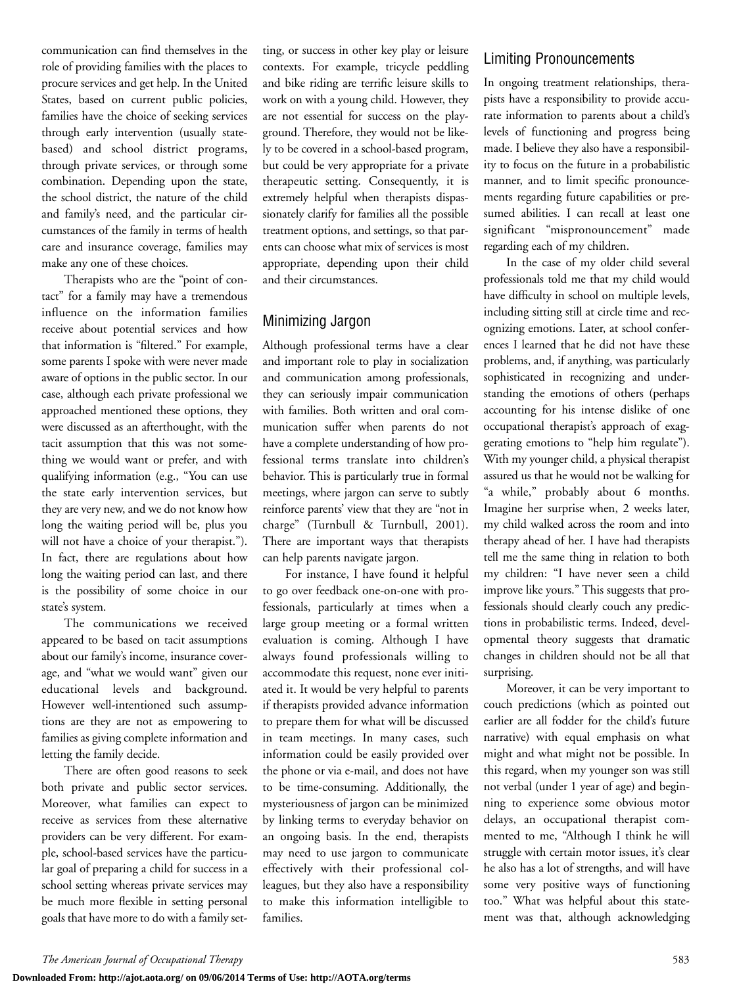communication can find themselves in the role of providing families with the places to procure services and get help. In the United States, based on current public policies, families have the choice of seeking services through early intervention (usually statebased) and school district programs, through private services, or through some combination. Depending upon the state, the school district, the nature of the child and family's need, and the particular circumstances of the family in terms of health care and insurance coverage, families may make any one of these choices.

Therapists who are the "point of contact" for a family may have a tremendous influence on the information families receive about potential services and how that information is "filtered." For example, some parents I spoke with were never made aware of options in the public sector. In our case, although each private professional we approached mentioned these options, they were discussed as an afterthought, with the tacit assumption that this was not something we would want or prefer, and with qualifying information (e.g., "You can use the state early intervention services, but they are very new, and we do not know how long the waiting period will be, plus you will not have a choice of your therapist."). In fact, there are regulations about how long the waiting period can last, and there is the possibility of some choice in our state's system.

The communications we received appeared to be based on tacit assumptions about our family's income, insurance coverage, and "what we would want" given our educational levels and background. However well-intentioned such assumptions are they are not as empowering to families as giving complete information and letting the family decide.

There are often good reasons to seek both private and public sector services. Moreover, what families can expect to receive as services from these alternative providers can be very different. For example, school-based services have the particular goal of preparing a child for success in a school setting whereas private services may be much more flexible in setting personal goals that have more to do with a family setting, or success in other key play or leisure contexts. For example, tricycle peddling and bike riding are terrific leisure skills to work on with a young child. However, they are not essential for success on the playground. Therefore, they would not be likely to be covered in a school-based program, but could be very appropriate for a private therapeutic setting. Consequently, it is extremely helpful when therapists dispassionately clarify for families all the possible treatment options, and settings, so that parents can choose what mix of services is most appropriate, depending upon their child and their circumstances.

## Minimizing Jargon

Although professional terms have a clear and important role to play in socialization and communication among professionals, they can seriously impair communication with families. Both written and oral communication suffer when parents do not have a complete understanding of how professional terms translate into children's behavior. This is particularly true in formal meetings, where jargon can serve to subtly reinforce parents' view that they are "not in charge" (Turnbull & Turnbull, 2001). There are important ways that therapists can help parents navigate jargon.

For instance, I have found it helpful to go over feedback one-on-one with professionals, particularly at times when a large group meeting or a formal written evaluation is coming. Although I have always found professionals willing to accommodate this request, none ever initiated it. It would be very helpful to parents if therapists provided advance information to prepare them for what will be discussed in team meetings. In many cases, such information could be easily provided over the phone or via e-mail, and does not have to be time-consuming. Additionally, the mysteriousness of jargon can be minimized by linking terms to everyday behavior on an ongoing basis. In the end, therapists may need to use jargon to communicate effectively with their professional colleagues, but they also have a responsibility to make this information intelligible to families.

## Limiting Pronouncements

In ongoing treatment relationships, therapists have a responsibility to provide accurate information to parents about a child's levels of functioning and progress being made. I believe they also have a responsibility to focus on the future in a probabilistic manner, and to limit specific pronouncements regarding future capabilities or presumed abilities. I can recall at least one significant "mispronouncement" made regarding each of my children.

In the case of my older child several professionals told me that my child would have difficulty in school on multiple levels, including sitting still at circle time and recognizing emotions. Later, at school conferences I learned that he did not have these problems, and, if anything, was particularly sophisticated in recognizing and understanding the emotions of others (perhaps accounting for his intense dislike of one occupational therapist's approach of exaggerating emotions to "help him regulate"). With my younger child, a physical therapist assured us that he would not be walking for "a while," probably about 6 months. Imagine her surprise when, 2 weeks later, my child walked across the room and into therapy ahead of her. I have had therapists tell me the same thing in relation to both my children: "I have never seen a child improve like yours." This suggests that professionals should clearly couch any predictions in probabilistic terms. Indeed, developmental theory suggests that dramatic changes in children should not be all that surprising.

Moreover, it can be very important to couch predictions (which as pointed out earlier are all fodder for the child's future narrative) with equal emphasis on what might and what might not be possible. In this regard, when my younger son was still not verbal (under 1 year of age) and beginning to experience some obvious motor delays, an occupational therapist commented to me, "Although I think he will struggle with certain motor issues, it's clear he also has a lot of strengths, and will have some very positive ways of functioning too." What was helpful about this statement was that, although acknowledging

*The American Journal of Occupational Therapy* 583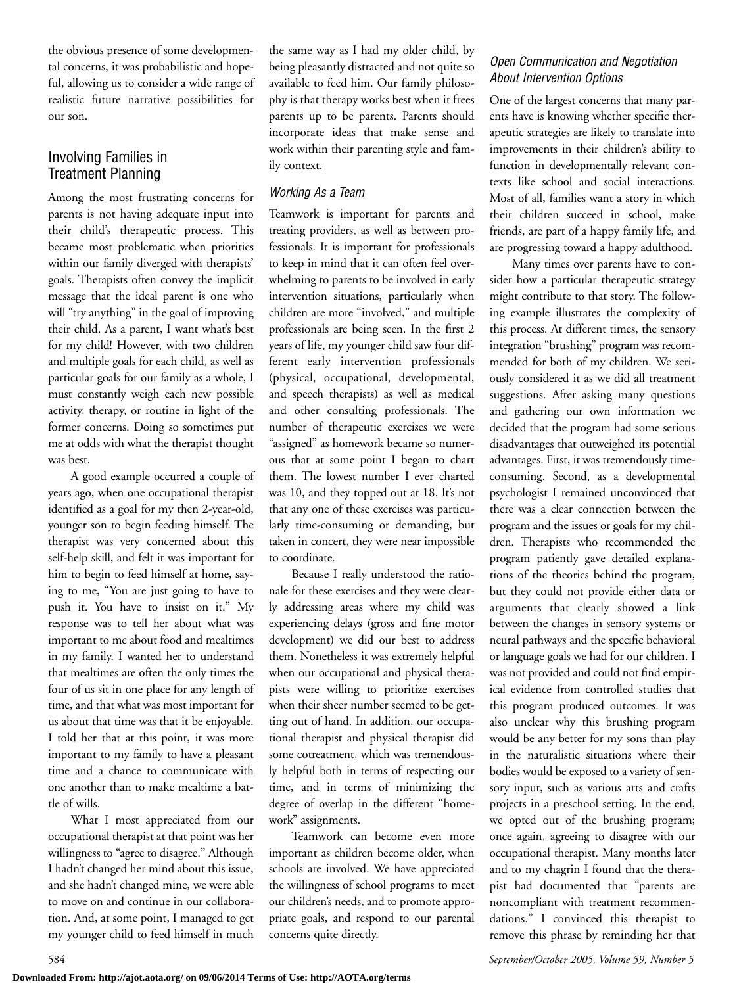the obvious presence of some developmental concerns, it was probabilistic and hopeful, allowing us to consider a wide range of realistic future narrative possibilities for our son.

## Involving Families in Treatment Planning

Among the most frustrating concerns for parents is not having adequate input into their child's therapeutic process. This became most problematic when priorities within our family diverged with therapists' goals. Therapists often convey the implicit message that the ideal parent is one who will "try anything" in the goal of improving their child. As a parent, I want what's best for my child! However, with two children and multiple goals for each child, as well as particular goals for our family as a whole, I must constantly weigh each new possible activity, therapy, or routine in light of the former concerns. Doing so sometimes put me at odds with what the therapist thought was best.

A good example occurred a couple of years ago, when one occupational therapist identified as a goal for my then 2-year-old, younger son to begin feeding himself. The therapist was very concerned about this self-help skill, and felt it was important for him to begin to feed himself at home, saying to me, "You are just going to have to push it. You have to insist on it." My response was to tell her about what was important to me about food and mealtimes in my family. I wanted her to understand that mealtimes are often the only times the four of us sit in one place for any length of time, and that what was most important for us about that time was that it be enjoyable. I told her that at this point, it was more important to my family to have a pleasant time and a chance to communicate with one another than to make mealtime a battle of wills.

What I most appreciated from our occupational therapist at that point was her willingness to "agree to disagree." Although I hadn't changed her mind about this issue, and she hadn't changed mine, we were able to move on and continue in our collaboration. And, at some point, I managed to get my younger child to feed himself in much

the same way as I had my older child, by being pleasantly distracted and not quite so available to feed him. Our family philosophy is that therapy works best when it frees parents up to be parents. Parents should incorporate ideas that make sense and work within their parenting style and family context.

#### *Working As a Team*

Teamwork is important for parents and treating providers, as well as between professionals. It is important for professionals to keep in mind that it can often feel overwhelming to parents to be involved in early intervention situations, particularly when children are more "involved," and multiple professionals are being seen. In the first 2 years of life, my younger child saw four different early intervention professionals (physical, occupational, developmental, and speech therapists) as well as medical and other consulting professionals. The number of therapeutic exercises we were "assigned" as homework became so numerous that at some point I began to chart them. The lowest number I ever charted was 10, and they topped out at 18. It's not that any one of these exercises was particularly time-consuming or demanding, but taken in concert, they were near impossible to coordinate.

Because I really understood the rationale for these exercises and they were clearly addressing areas where my child was experiencing delays (gross and fine motor development) we did our best to address them. Nonetheless it was extremely helpful when our occupational and physical therapists were willing to prioritize exercises when their sheer number seemed to be getting out of hand. In addition, our occupational therapist and physical therapist did some cotreatment, which was tremendously helpful both in terms of respecting our time, and in terms of minimizing the degree of overlap in the different "homework" assignments.

Teamwork can become even more important as children become older, when schools are involved. We have appreciated the willingness of school programs to meet our children's needs, and to promote appropriate goals, and respond to our parental concerns quite directly.

## *Open Communication and Negotiation About Intervention Options*

One of the largest concerns that many parents have is knowing whether specific therapeutic strategies are likely to translate into improvements in their children's ability to function in developmentally relevant contexts like school and social interactions. Most of all, families want a story in which their children succeed in school, make friends, are part of a happy family life, and are progressing toward a happy adulthood.

Many times over parents have to consider how a particular therapeutic strategy might contribute to that story. The following example illustrates the complexity of this process. At different times, the sensory integration "brushing" program was recommended for both of my children. We seriously considered it as we did all treatment suggestions. After asking many questions and gathering our own information we decided that the program had some serious disadvantages that outweighed its potential advantages. First, it was tremendously timeconsuming. Second, as a developmental psychologist I remained unconvinced that there was a clear connection between the program and the issues or goals for my children. Therapists who recommended the program patiently gave detailed explanations of the theories behind the program, but they could not provide either data or arguments that clearly showed a link between the changes in sensory systems or neural pathways and the specific behavioral or language goals we had for our children. I was not provided and could not find empirical evidence from controlled studies that this program produced outcomes. It was also unclear why this brushing program would be any better for my sons than play in the naturalistic situations where their bodies would be exposed to a variety of sensory input, such as various arts and crafts projects in a preschool setting. In the end, we opted out of the brushing program; once again, agreeing to disagree with our occupational therapist. Many months later and to my chagrin I found that the therapist had documented that "parents are noncompliant with treatment recommendations." I convinced this therapist to remove this phrase by reminding her that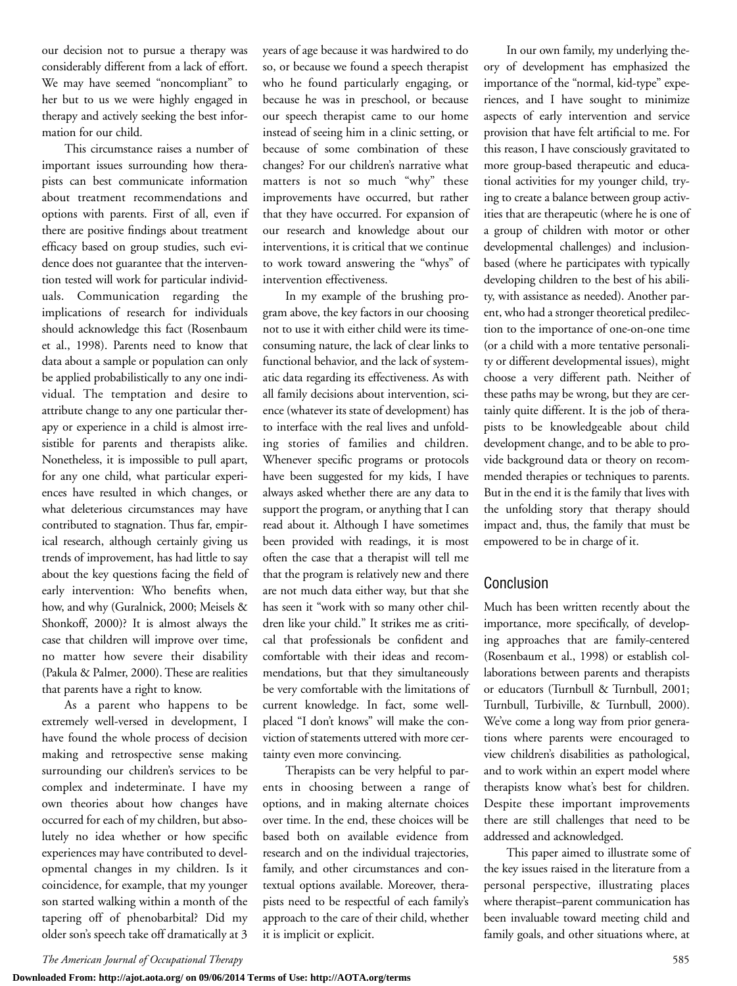our decision not to pursue a therapy was considerably different from a lack of effort. We may have seemed "noncompliant" to her but to us we were highly engaged in therapy and actively seeking the best information for our child.

This circumstance raises a number of important issues surrounding how therapists can best communicate information about treatment recommendations and options with parents. First of all, even if there are positive findings about treatment efficacy based on group studies, such evidence does not guarantee that the intervention tested will work for particular individuals. Communication regarding the implications of research for individuals should acknowledge this fact (Rosenbaum et al., 1998). Parents need to know that data about a sample or population can only be applied probabilistically to any one individual. The temptation and desire to attribute change to any one particular therapy or experience in a child is almost irresistible for parents and therapists alike. Nonetheless, it is impossible to pull apart, for any one child, what particular experiences have resulted in which changes, or what deleterious circumstances may have contributed to stagnation. Thus far, empirical research, although certainly giving us trends of improvement, has had little to say about the key questions facing the field of early intervention: Who benefits when, how, and why (Guralnick, 2000; Meisels & Shonkoff, 2000)? It is almost always the case that children will improve over time, no matter how severe their disability (Pakula & Palmer, 2000). These are realities that parents have a right to know.

As a parent who happens to be extremely well-versed in development, I have found the whole process of decision making and retrospective sense making surrounding our children's services to be complex and indeterminate. I have my own theories about how changes have occurred for each of my children, but absolutely no idea whether or how specific experiences may have contributed to developmental changes in my children. Is it coincidence, for example, that my younger son started walking within a month of the tapering off of phenobarbital? Did my older son's speech take off dramatically at 3

years of age because it was hardwired to do so, or because we found a speech therapist who he found particularly engaging, or because he was in preschool, or because our speech therapist came to our home instead of seeing him in a clinic setting, or because of some combination of these changes? For our children's narrative what matters is not so much "why" these improvements have occurred, but rather that they have occurred. For expansion of our research and knowledge about our interventions, it is critical that we continue to work toward answering the "whys" of intervention effectiveness.

In my example of the brushing program above, the key factors in our choosing not to use it with either child were its timeconsuming nature, the lack of clear links to functional behavior, and the lack of systematic data regarding its effectiveness. As with all family decisions about intervention, science (whatever its state of development) has to interface with the real lives and unfolding stories of families and children. Whenever specific programs or protocols have been suggested for my kids, I have always asked whether there are any data to support the program, or anything that I can read about it. Although I have sometimes been provided with readings, it is most often the case that a therapist will tell me that the program is relatively new and there are not much data either way, but that she has seen it "work with so many other children like your child." It strikes me as critical that professionals be confident and comfortable with their ideas and recommendations, but that they simultaneously be very comfortable with the limitations of current knowledge. In fact, some wellplaced "I don't knows" will make the conviction of statements uttered with more certainty even more convincing.

Therapists can be very helpful to parents in choosing between a range of options, and in making alternate choices over time. In the end, these choices will be based both on available evidence from research and on the individual trajectories, family, and other circumstances and contextual options available. Moreover, therapists need to be respectful of each family's approach to the care of their child, whether it is implicit or explicit.

In our own family, my underlying theory of development has emphasized the importance of the "normal, kid-type" experiences, and I have sought to minimize aspects of early intervention and service provision that have felt artificial to me. For this reason, I have consciously gravitated to more group-based therapeutic and educational activities for my younger child, trying to create a balance between group activities that are therapeutic (where he is one of a group of children with motor or other developmental challenges) and inclusionbased (where he participates with typically developing children to the best of his ability, with assistance as needed). Another parent, who had a stronger theoretical predilection to the importance of one-on-one time (or a child with a more tentative personality or different developmental issues), might choose a very different path. Neither of these paths may be wrong, but they are certainly quite different. It is the job of therapists to be knowledgeable about child development change, and to be able to provide background data or theory on recommended therapies or techniques to parents. But in the end it is the family that lives with the unfolding story that therapy should impact and, thus, the family that must be empowered to be in charge of it.

## Conclusion

Much has been written recently about the importance, more specifically, of developing approaches that are family-centered (Rosenbaum et al., 1998) or establish collaborations between parents and therapists or educators (Turnbull & Turnbull, 2001; Turnbull, Turbiville, & Turnbull, 2000). We've come a long way from prior generations where parents were encouraged to view children's disabilities as pathological, and to work within an expert model where therapists know what's best for children. Despite these important improvements there are still challenges that need to be addressed and acknowledged.

This paper aimed to illustrate some of the key issues raised in the literature from a personal perspective, illustrating places where therapist–parent communication has been invaluable toward meeting child and family goals, and other situations where, at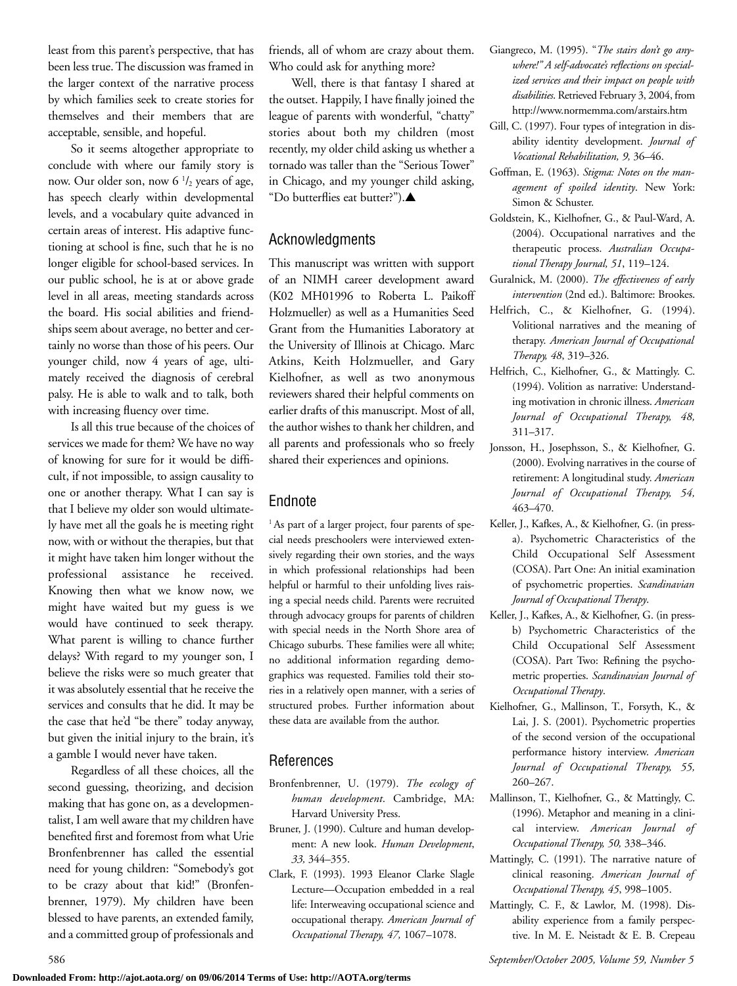least from this parent's perspective, that has been less true. The discussion was framed in the larger context of the narrative process by which families seek to create stories for themselves and their members that are acceptable, sensible, and hopeful.

So it seems altogether appropriate to conclude with where our family story is now. Our older son, now  $6<sup>1</sup>/2$  years of age, has speech clearly within developmental levels, and a vocabulary quite advanced in certain areas of interest. His adaptive functioning at school is fine, such that he is no longer eligible for school-based services. In our public school, he is at or above grade level in all areas, meeting standards across the board. His social abilities and friendships seem about average, no better and certainly no worse than those of his peers. Our younger child, now 4 years of age, ultimately received the diagnosis of cerebral palsy. He is able to walk and to talk, both with increasing fluency over time.

Is all this true because of the choices of services we made for them? We have no way of knowing for sure for it would be difficult, if not impossible, to assign causality to one or another therapy. What I can say is that I believe my older son would ultimately have met all the goals he is meeting right now, with or without the therapies, but that it might have taken him longer without the professional assistance he received. Knowing then what we know now, we might have waited but my guess is we would have continued to seek therapy. What parent is willing to chance further delays? With regard to my younger son, I believe the risks were so much greater that it was absolutely essential that he receive the services and consults that he did. It may be the case that he'd "be there" today anyway, but given the initial injury to the brain, it's a gamble I would never have taken.

Regardless of all these choices, all the second guessing, theorizing, and decision making that has gone on, as a developmentalist, I am well aware that my children have benefited first and foremost from what Urie Bronfenbrenner has called the essential need for young children: "Somebody's got to be crazy about that kid!" (Bronfenbrenner, 1979). My children have been blessed to have parents, an extended family, and a committed group of professionals and

friends, all of whom are crazy about them. Who could ask for anything more?

Well, there is that fantasy I shared at the outset. Happily, I have finally joined the league of parents with wonderful, "chatty" stories about both my children (most recently, my older child asking us whether a tornado was taller than the "Serious Tower" in Chicago, and my younger child asking, "Do butterflies eat butter?").**▲**

## Acknowledgments

This manuscript was written with support of an NIMH career development award (K02 MH01996 to Roberta L. Paikoff Holzmueller) as well as a Humanities Seed Grant from the Humanities Laboratory at the University of Illinois at Chicago. Marc Atkins, Keith Holzmueller, and Gary Kielhofner, as well as two anonymous reviewers shared their helpful comments on earlier drafts of this manuscript. Most of all, the author wishes to thank her children, and all parents and professionals who so freely shared their experiences and opinions.

# Endnote

<sup>1</sup> As part of a larger project, four parents of special needs preschoolers were interviewed extensively regarding their own stories, and the ways in which professional relationships had been helpful or harmful to their unfolding lives raising a special needs child. Parents were recruited through advocacy groups for parents of children with special needs in the North Shore area of Chicago suburbs. These families were all white; no additional information regarding demographics was requested. Families told their stories in a relatively open manner, with a series of structured probes. Further information about these data are available from the author.

## References

- Bronfenbrenner, U. (1979). *The ecology of human development*. Cambridge, MA: Harvard University Press.
- Bruner, J. (1990). Culture and human development: A new look. *Human Development*, *33,* 344–355.
- Clark, F. (1993). 1993 Eleanor Clarke Slagle Lecture—Occupation embedded in a real life: Interweaving occupational science and occupational therapy. *American Journal of Occupational Therapy, 47,* 1067–1078.
- Giangreco, M. (1995). "*The stairs don't go anywhere!" A self-advocate's reflections on specialized services and their impact on people with disabilities*. Retrieved February 3, 2004, from http://www.normemma.com/arstairs.htm
- Gill, C. (1997). Four types of integration in disability identity development. *Journal of Vocational Rehabilitation, 9,* 36–46.
- Goffman, E. (1963). *Stigma: Notes on the management of spoiled identity*. New York: Simon & Schuster.
- Goldstein, K., Kielhofner, G., & Paul-Ward, A. (2004). Occupational narratives and the therapeutic process. *Australian Occupational Therapy Journal, 51*, 119–124.
- Guralnick, M. (2000). *The effectiveness of early intervention* (2nd ed.). Baltimore: Brookes.
- Helfrich, C., & Kielhofner, G. (1994). Volitional narratives and the meaning of therapy. *American Journal of Occupational Therapy, 48*, 319–326.
- Helfrich, C., Kielhofner, G., & Mattingly. C. (1994). Volition as narrative: Understanding motivation in chronic illness. *American Journal of Occupational Therapy, 48,* 311–317.
- Jonsson, H., Josephsson, S., & Kielhofner, G. (2000). Evolving narratives in the course of retirement: A longitudinal study. *American Journal of Occupational Therapy, 54,* 463–470.
- Keller, J., Kafkes, A., & Kielhofner, G. (in pressa). Psychometric Characteristics of the Child Occupational Self Assessment (COSA). Part One: An initial examination of psychometric properties. *Scandinavian Journal of Occupational Therapy*.
- Keller, J., Kafkes, A., & Kielhofner, G. (in pressb) Psychometric Characteristics of the Child Occupational Self Assessment (COSA). Part Two: Refining the psychometric properties. *Scandinavian Journal of Occupational Therapy*.
- Kielhofner, G., Mallinson, T., Forsyth, K., & Lai, J. S. (2001). Psychometric properties of the second version of the occupational performance history interview. *American Journal of Occupational Therapy, 55,* 260–267.
- Mallinson, T., Kielhofner, G., & Mattingly, C. (1996). Metaphor and meaning in a clinical interview. *American Journal of Occupational Therapy, 50,* 338–346.
- Mattingly, C. (1991). The narrative nature of clinical reasoning. *American Journal of Occupational Therapy, 45*, 998–1005.
- Mattingly, C. F., & Lawlor, M. (1998). Disability experience from a family perspective. In M. E. Neistadt & E. B. Crepeau